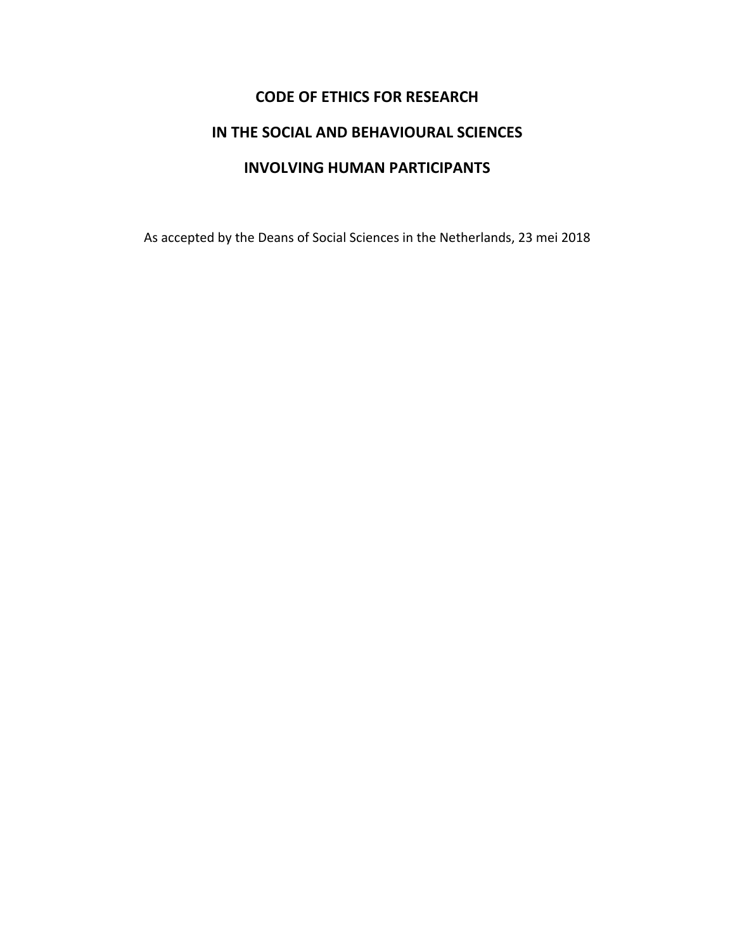# **CODE OF ETHICS FOR RESEARCH IN THE SOCIAL AND BEHAVIOURAL SCIENCES INVOLVING HUMAN PARTICIPANTS**

As accepted by the Deans of Social Sciences in the Netherlands, 23 mei 2018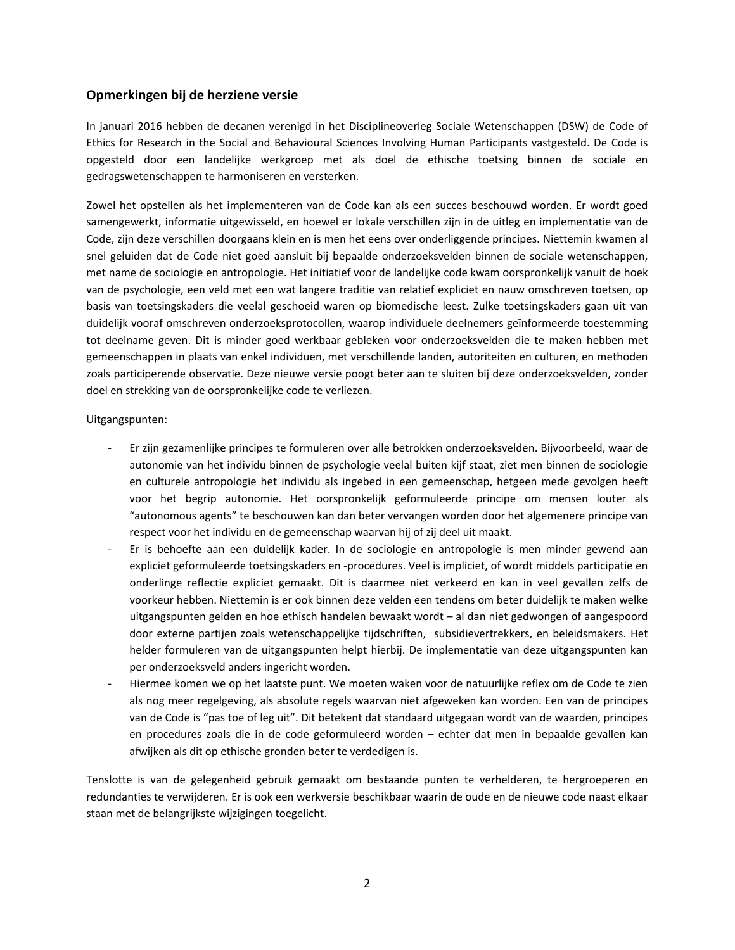# **Opmerkingen bij de herziene versie**

In januari 2016 hebben de decanen verenigd in het Disciplineoverleg Sociale Wetenschappen (DSW) de Code of Ethics for Research in the Social and Behavioural Sciences Involving Human Participants vastgesteld. De Code is opgesteld door een landelijke werkgroep met als doel de ethische toetsing binnen de sociale en gedragswetenschappen te harmoniseren en versterken.

Zowel het opstellen als het implementeren van de Code kan als een succes beschouwd worden. Er wordt goed samengewerkt, informatie uitgewisseld, en hoewel er lokale verschillen zijn in de uitleg en implementatie van de Code, zijn deze verschillen doorgaans klein en is men het eens over onderliggende principes. Niettemin kwamen al snel geluiden dat de Code niet goed aansluit bij bepaalde onderzoeksvelden binnen de sociale wetenschappen, met name de sociologie en antropologie. Het initiatief voor de landelijke code kwam oorspronkelijk vanuit de hoek van de psychologie, een veld met een wat langere traditie van relatief expliciet en nauw omschreven toetsen, op basis van toetsingskaders die veelal geschoeid waren op biomedische leest. Zulke toetsingskaders gaan uit van duidelijk vooraf omschreven onderzoeksprotocollen, waarop individuele deelnemers geïnformeerde toestemming tot deelname geven. Dit is minder goed werkbaar gebleken voor onderzoeksvelden die te maken hebben met gemeenschappen in plaats van enkel individuen, met verschillende landen, autoriteiten en culturen, en methoden zoals participerende observatie. Deze nieuwe versie poogt beter aan te sluiten bij deze onderzoeksvelden, zonder doel en strekking van de oorspronkelijke code te verliezen.

Uitgangspunten:

- Er zijn gezamenlijke principes te formuleren over alle betrokken onderzoeksvelden. Bijvoorbeeld, waar de autonomie van het individu binnen de psychologie veelal buiten kijf staat, ziet men binnen de sociologie en culturele antropologie het individu als ingebed in een gemeenschap, hetgeen mede gevolgen heeft voor het begrip autonomie. Het oorspronkelijk geformuleerde principe om mensen louter als "autonomous agents" te beschouwen kan dan beter vervangen worden door het algemenere principe van respect voor het individu en de gemeenschap waarvan hij of zij deel uit maakt.
- Er is behoefte aan een duidelijk kader. In de sociologie en antropologie is men minder gewend aan expliciet geformuleerde toetsingskaders en -procedures. Veel is impliciet, of wordt middels participatie en onderlinge reflectie expliciet gemaakt. Dit is daarmee niet verkeerd en kan in veel gevallen zelfs de voorkeur hebben. Niettemin is er ook binnen deze velden een tendens om beter duidelijk te maken welke uitgangspunten gelden en hoe ethisch handelen bewaakt wordt – al dan niet gedwongen of aangespoord door externe partijen zoals wetenschappelijke tijdschriften, subsidievertrekkers, en beleidsmakers. Het helder formuleren van de uitgangspunten helpt hierbij. De implementatie van deze uitgangspunten kan per onderzoeksveld anders ingericht worden.
- Hiermee komen we op het laatste punt. We moeten waken voor de natuurlijke reflex om de Code te zien als nog meer regelgeving, als absolute regels waarvan niet afgeweken kan worden. Een van de principes van de Code is "pas toe of leg uit". Dit betekent dat standaard uitgegaan wordt van de waarden, principes en procedures zoals die in de code geformuleerd worden – echter dat men in bepaalde gevallen kan afwijken als dit op ethische gronden beter te verdedigen is.

Tenslotte is van de gelegenheid gebruik gemaakt om bestaande punten te verhelderen, te hergroeperen en redundanties te verwijderen. Er is ook een werkversie beschikbaar waarin de oude en de nieuwe code naast elkaar staan met de belangrijkste wijzigingen toegelicht.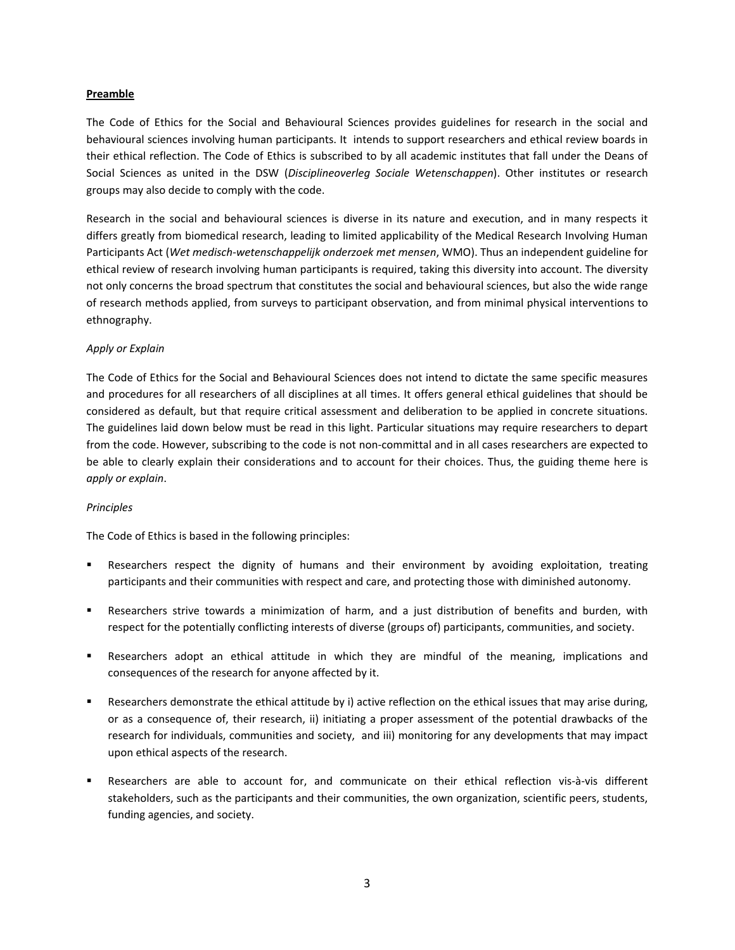#### **Preamble**

The Code of Ethics for the Social and Behavioural Sciences provides guidelines for research in the social and behavioural sciences involving human participants. It intends to support researchers and ethical review boards in their ethical reflection. The Code of Ethics is subscribed to by all academic institutes that fall under the Deans of Social Sciences as united in the DSW (*Disciplineoverleg Sociale Wetenschappen*). Other institutes or research groups may also decide to comply with the code.

Research in the social and behavioural sciences is diverse in its nature and execution, and in many respects it differs greatly from biomedical research, leading to limited applicability of the Medical Research Involving Human Participants Act (*Wet medisch-wetenschappelijk onderzoek met mensen*, WMO). Thus an independent guideline for ethical review of research involving human participants is required, taking this diversity into account. The diversity not only concerns the broad spectrum that constitutes the social and behavioural sciences, but also the wide range of research methods applied, from surveys to participant observation, and from minimal physical interventions to ethnography.

## *Apply or Explain*

The Code of Ethics for the Social and Behavioural Sciences does not intend to dictate the same specific measures and procedures for all researchers of all disciplines at all times. It offers general ethical guidelines that should be considered as default, but that require critical assessment and deliberation to be applied in concrete situations. The guidelines laid down below must be read in this light. Particular situations may require researchers to depart from the code. However, subscribing to the code is not non-committal and in all cases researchers are expected to be able to clearly explain their considerations and to account for their choices. Thus, the guiding theme here is *apply or explain*.

#### *Principles*

The Code of Ethics is based in the following principles:

- Researchers respect the dignity of humans and their environment by avoiding exploitation, treating participants and their communities with respect and care, and protecting those with diminished autonomy.
- Researchers strive towards a minimization of harm, and a just distribution of benefits and burden, with respect for the potentially conflicting interests of diverse (groups of) participants, communities, and society.
- Researchers adopt an ethical attitude in which they are mindful of the meaning, implications and consequences of the research for anyone affected by it.
- Researchers demonstrate the ethical attitude by i) active reflection on the ethical issues that may arise during, or as a consequence of, their research, ii) initiating a proper assessment of the potential drawbacks of the research for individuals, communities and society, and iii) monitoring for any developments that may impact upon ethical aspects of the research.
- Researchers are able to account for, and communicate on their ethical reflection vis-à-vis different stakeholders, such as the participants and their communities, the own organization, scientific peers, students, funding agencies, and society.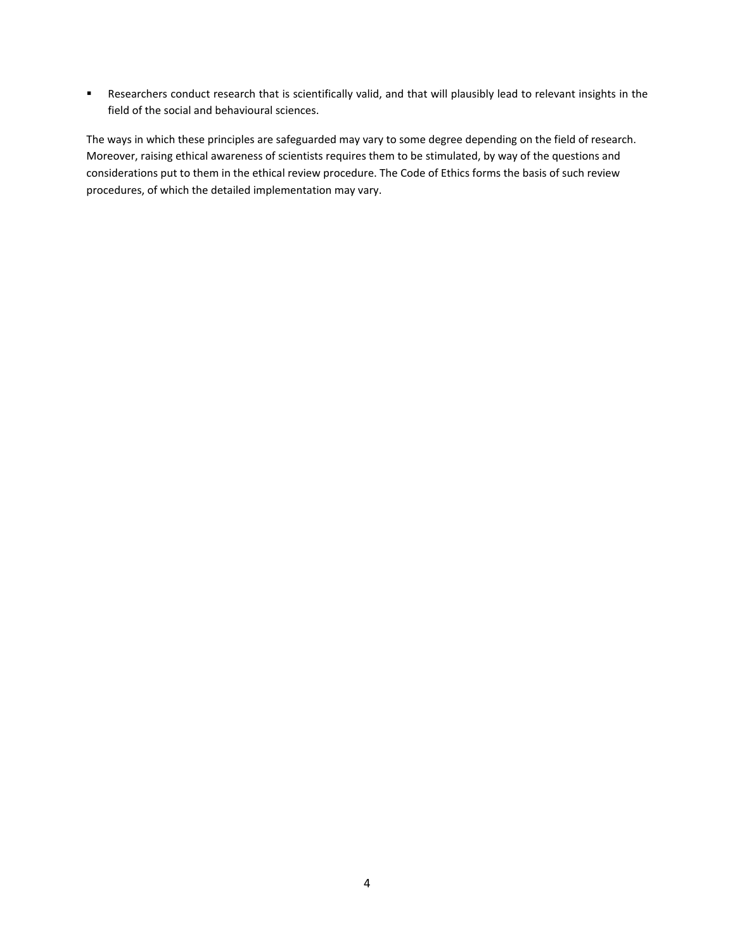Researchers conduct research that is scientifically valid, and that will plausibly lead to relevant insights in the field of the social and behavioural sciences.

The ways in which these principles are safeguarded may vary to some degree depending on the field of research. Moreover, raising ethical awareness of scientists requires them to be stimulated, by way of the questions and considerations put to them in the ethical review procedure. The Code of Ethics forms the basis of such review procedures, of which the detailed implementation may vary.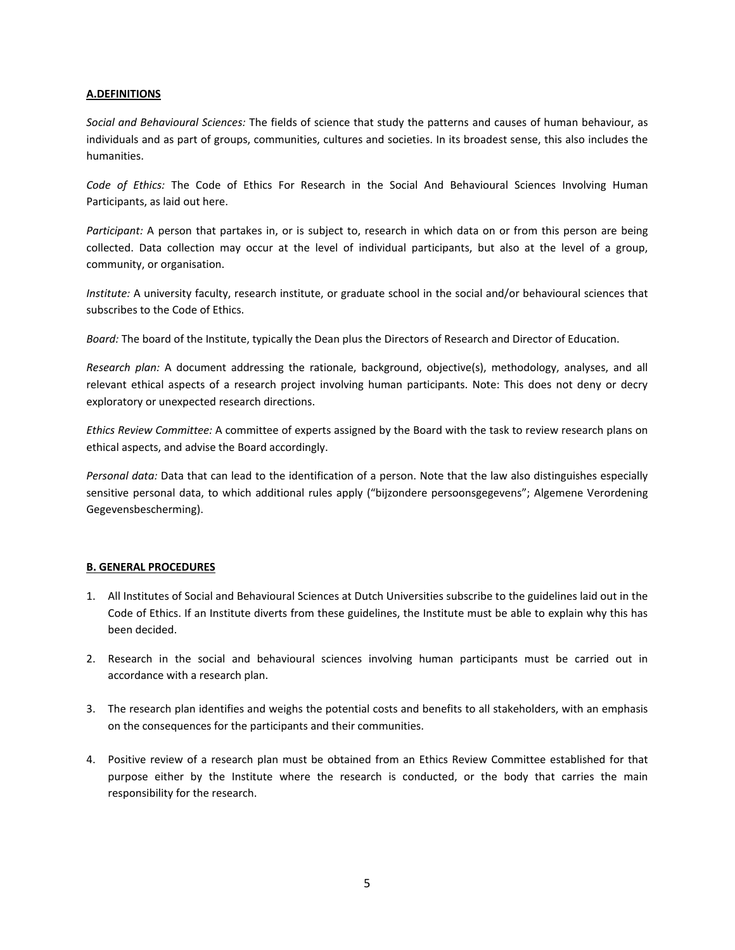### **A.DEFINITIONS**

*Social and Behavioural Sciences:* The fields of science that study the patterns and causes of human behaviour, as individuals and as part of groups, communities, cultures and societies. In its broadest sense, this also includes the humanities.

*Code of Ethics:* The Code of Ethics For Research in the Social And Behavioural Sciences Involving Human Participants, as laid out here.

*Participant:* A person that partakes in, or is subject to, research in which data on or from this person are being collected. Data collection may occur at the level of individual participants, but also at the level of a group, community, or organisation.

*Institute:* A university faculty, research institute, or graduate school in the social and/or behavioural sciences that subscribes to the Code of Ethics.

*Board:* The board of the Institute, typically the Dean plus the Directors of Research and Director of Education.

*Research plan:* A document addressing the rationale, background, objective(s), methodology, analyses, and all relevant ethical aspects of a research project involving human participants. Note: This does not deny or decry exploratory or unexpected research directions.

*Ethics Review Committee:* A committee of experts assigned by the Board with the task to review research plans on ethical aspects, and advise the Board accordingly.

*Personal data:* Data that can lead to the identification of a person. Note that the law also distinguishes especially sensitive personal data, to which additional rules apply ("bijzondere persoonsgegevens"; Algemene Verordening Gegevensbescherming).

# **B. GENERAL PROCEDURES**

- 1. All Institutes of Social and Behavioural Sciences at Dutch Universities subscribe to the guidelines laid out in the Code of Ethics. If an Institute diverts from these guidelines, the Institute must be able to explain why this has been decided.
- 2. Research in the social and behavioural sciences involving human participants must be carried out in accordance with a research plan.
- 3. The research plan identifies and weighs the potential costs and benefits to all stakeholders, with an emphasis on the consequences for the participants and their communities.
- 4. Positive review of a research plan must be obtained from an Ethics Review Committee established for that purpose either by the Institute where the research is conducted, or the body that carries the main responsibility for the research.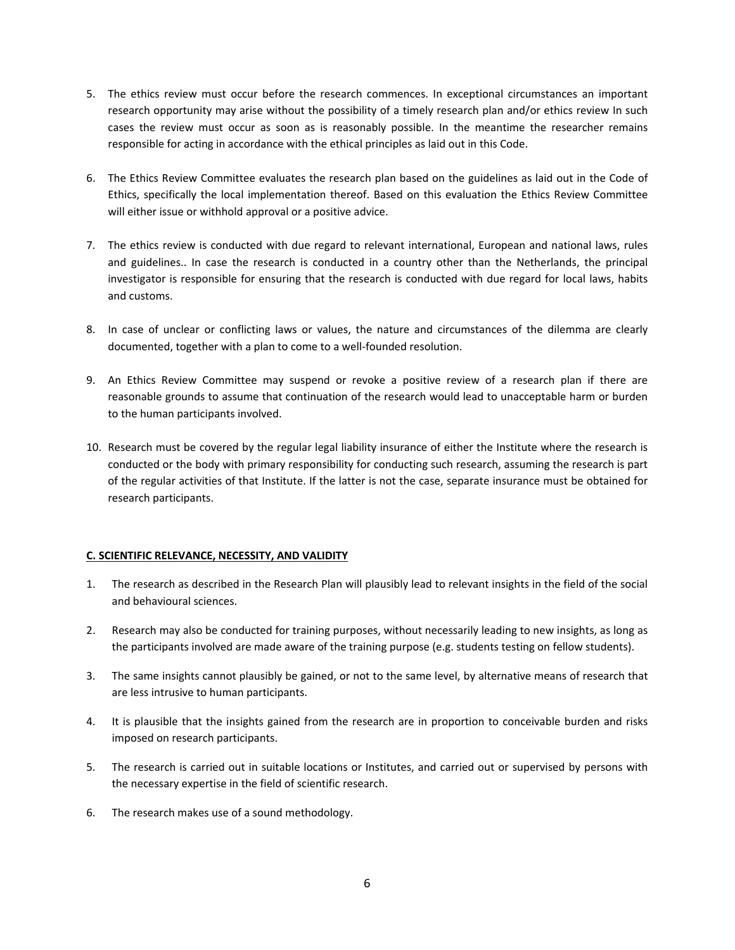- 5. The ethics review must occur before the research commences. In exceptional circumstances an important research opportunity may arise without the possibility of a timely research plan and/or ethics review In such cases the review must occur as soon as is reasonably possible. In the meantime the researcher remains responsible for acting in accordance with the ethical principles as laid out in this Code.
- 6. The Ethics Review Committee evaluates the research plan based on the guidelines as laid out in the Code of Ethics, specifically the local implementation thereof. Based on this evaluation the Ethics Review Committee will either issue or withhold approval or a positive advice.
- 7. The ethics review is conducted with due regard to relevant international, European and national laws, rules and guidelines.. In case the research is conducted in a country other than the Netherlands, the principal investigator is responsible for ensuring that the research is conducted with due regard for local laws, habits and customs.
- 8. In case of unclear or conflicting laws or values, the nature and circumstances of the dilemma are clearly documented, together with a plan to come to a well-founded resolution.
- 9. An Ethics Review Committee may suspend or revoke a positive review of a research plan if there are reasonable grounds to assume that continuation of the research would lead to unacceptable harm or burden to the human participants involved.
- 10. Research must be covered by the regular legal liability insurance of either the Institute where the research is conducted or the body with primary responsibility for conducting such research, assuming the research is part of the regular activities of that Institute. If the latter is not the case, separate insurance must be obtained for research participants.

# **C. SCIENTIFIC RELEVANCE, NECESSITY, AND VALIDITY**

- 1. The research as described in the Research Plan will plausibly lead to relevant insights in the field of the social and behavioural sciences.
- 2. Research may also be conducted for training purposes, without necessarily leading to new insights, as long as the participants involved are made aware of the training purpose (e.g. students testing on fellow students).
- 3. The same insights cannot plausibly be gained, or not to the same level, by alternative means of research that are less intrusive to human participants.
- 4. It is plausible that the insights gained from the research are in proportion to conceivable burden and risks imposed on research participants.
- 5. The research is carried out in suitable locations or Institutes, and carried out or supervised by persons with the necessary expertise in the field of scientific research.
- 6. The research makes use of a sound methodology.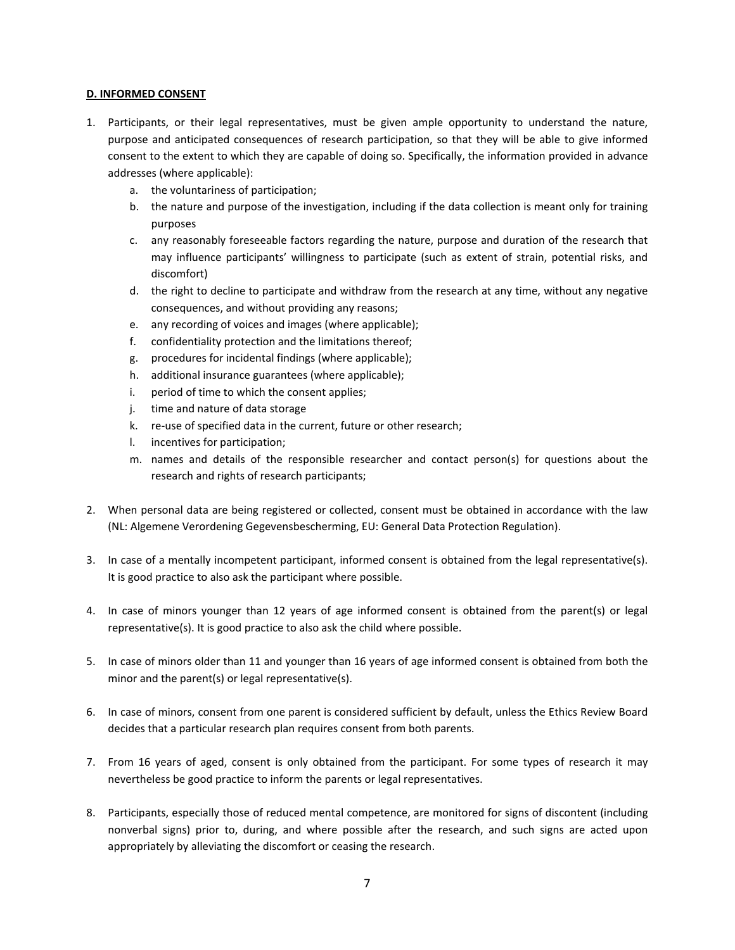# **D. INFORMED CONSENT**

- 1. Participants, or their legal representatives, must be given ample opportunity to understand the nature, purpose and anticipated consequences of research participation, so that they will be able to give informed consent to the extent to which they are capable of doing so. Specifically, the information provided in advance addresses (where applicable):
	- a. the voluntariness of participation;
	- b. the nature and purpose of the investigation, including if the data collection is meant only for training purposes
	- c. any reasonably foreseeable factors regarding the nature, purpose and duration of the research that may influence participants' willingness to participate (such as extent of strain, potential risks, and discomfort)
	- d. the right to decline to participate and withdraw from the research at any time, without any negative consequences, and without providing any reasons;
	- e. any recording of voices and images (where applicable);
	- f. confidentiality protection and the limitations thereof;
	- g. procedures for incidental findings (where applicable);
	- h. additional insurance guarantees (where applicable);
	- i. period of time to which the consent applies;
	- j. time and nature of data storage
	- k. re-use of specified data in the current, future or other research;
	- l. incentives for participation;
	- m. names and details of the responsible researcher and contact person(s) for questions about the research and rights of research participants;
- 2. When personal data are being registered or collected, consent must be obtained in accordance with the law (NL: Algemene Verordening Gegevensbescherming, EU: General Data Protection Regulation).
- 3. In case of a mentally incompetent participant, informed consent is obtained from the legal representative(s). It is good practice to also ask the participant where possible.
- 4. In case of minors younger than 12 years of age informed consent is obtained from the parent(s) or legal representative(s). It is good practice to also ask the child where possible.
- 5. In case of minors older than 11 and younger than 16 years of age informed consent is obtained from both the minor and the parent(s) or legal representative(s).
- 6. In case of minors, consent from one parent is considered sufficient by default, unless the Ethics Review Board decides that a particular research plan requires consent from both parents.
- 7. From 16 years of aged, consent is only obtained from the participant. For some types of research it may nevertheless be good practice to inform the parents or legal representatives.
- 8. Participants, especially those of reduced mental competence, are monitored for signs of discontent (including nonverbal signs) prior to, during, and where possible after the research, and such signs are acted upon appropriately by alleviating the discomfort or ceasing the research.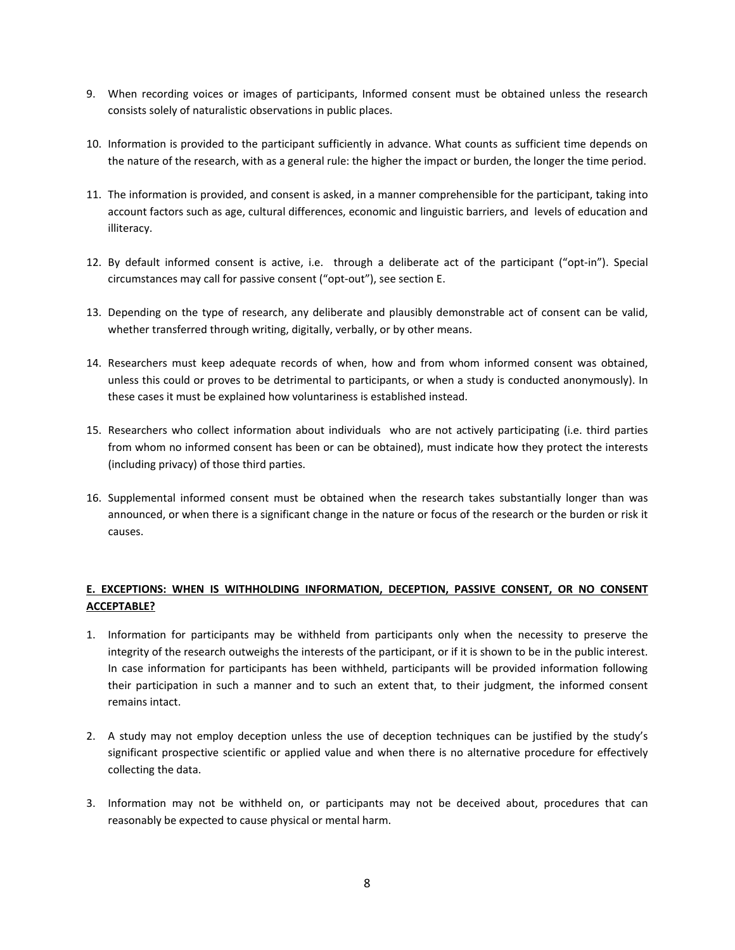- 9. When recording voices or images of participants, Informed consent must be obtained unless the research consists solely of naturalistic observations in public places.
- 10. Information is provided to the participant sufficiently in advance. What counts as sufficient time depends on the nature of the research, with as a general rule: the higher the impact or burden, the longer the time period.
- 11. The information is provided, and consent is asked, in a manner comprehensible for the participant, taking into account factors such as age, cultural differences, economic and linguistic barriers, and levels of education and illiteracy.
- 12. By default informed consent is active, i.e. through a deliberate act of the participant ("opt-in"). Special circumstances may call for passive consent ("opt-out"), see section E.
- 13. Depending on the type of research, any deliberate and plausibly demonstrable act of consent can be valid, whether transferred through writing, digitally, verbally, or by other means.
- 14. Researchers must keep adequate records of when, how and from whom informed consent was obtained, unless this could or proves to be detrimental to participants, or when a study is conducted anonymously). In these cases it must be explained how voluntariness is established instead.
- 15. Researchers who collect information about individuals who are not actively participating (i.e. third parties from whom no informed consent has been or can be obtained), must indicate how they protect the interests (including privacy) of those third parties.
- 16. Supplemental informed consent must be obtained when the research takes substantially longer than was announced, or when there is a significant change in the nature or focus of the research or the burden or risk it causes.

# **E. EXCEPTIONS: WHEN IS WITHHOLDING INFORMATION, DECEPTION, PASSIVE CONSENT, OR NO CONSENT ACCEPTABLE?**

- 1. Information for participants may be withheld from participants only when the necessity to preserve the integrity of the research outweighs the interests of the participant, or if it is shown to be in the public interest. In case information for participants has been withheld, participants will be provided information following their participation in such a manner and to such an extent that, to their judgment, the informed consent remains intact.
- 2. A study may not employ deception unless the use of deception techniques can be justified by the study's significant prospective scientific or applied value and when there is no alternative procedure for effectively collecting the data.
- 3. Information may not be withheld on, or participants may not be deceived about, procedures that can reasonably be expected to cause physical or mental harm.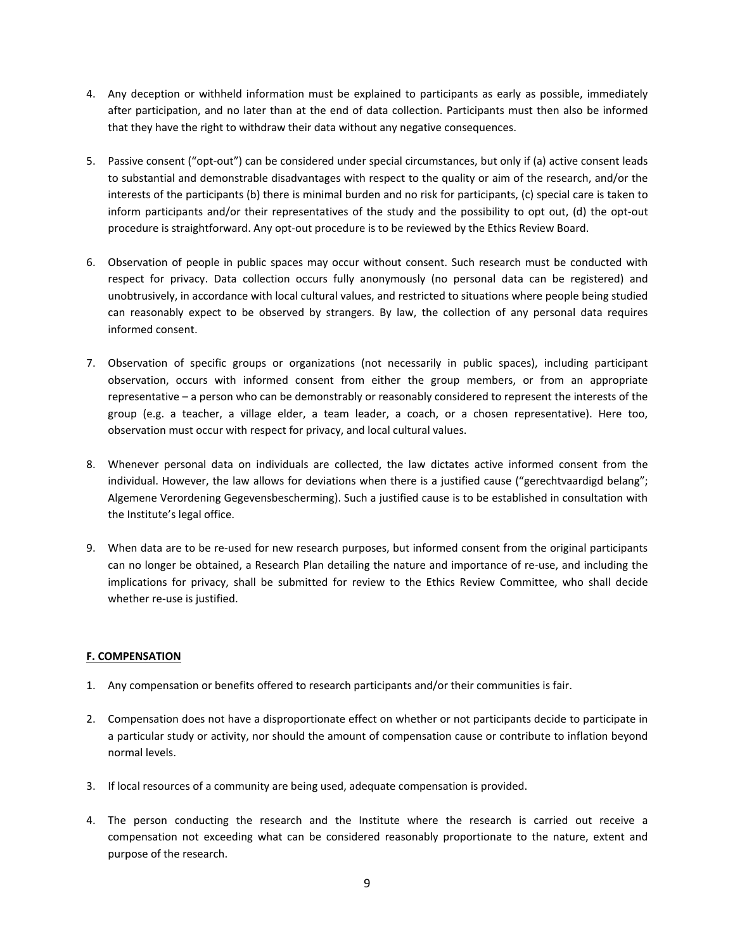- 4. Any deception or withheld information must be explained to participants as early as possible, immediately after participation, and no later than at the end of data collection. Participants must then also be informed that they have the right to withdraw their data without any negative consequences.
- 5. Passive consent ("opt-out") can be considered under special circumstances, but only if (a) active consent leads to substantial and demonstrable disadvantages with respect to the quality or aim of the research, and/or the interests of the participants (b) there is minimal burden and no risk for participants, (c) special care is taken to inform participants and/or their representatives of the study and the possibility to opt out, (d) the opt-out procedure is straightforward. Any opt-out procedure is to be reviewed by the Ethics Review Board.
- 6. Observation of people in public spaces may occur without consent. Such research must be conducted with respect for privacy. Data collection occurs fully anonymously (no personal data can be registered) and unobtrusively, in accordance with local cultural values, and restricted to situations where people being studied can reasonably expect to be observed by strangers. By law, the collection of any personal data requires informed consent.
- 7. Observation of specific groups or organizations (not necessarily in public spaces), including participant observation, occurs with informed consent from either the group members, or from an appropriate representative – a person who can be demonstrably or reasonably considered to represent the interests of the group (e.g. a teacher, a village elder, a team leader, a coach, or a chosen representative). Here too, observation must occur with respect for privacy, and local cultural values.
- 8. Whenever personal data on individuals are collected, the law dictates active informed consent from the individual. However, the law allows for deviations when there is a justified cause ("gerechtvaardigd belang"; Algemene Verordening Gegevensbescherming). Such a justified cause is to be established in consultation with the Institute's legal office.
- 9. When data are to be re-used for new research purposes, but informed consent from the original participants can no longer be obtained, a Research Plan detailing the nature and importance of re-use, and including the implications for privacy, shall be submitted for review to the Ethics Review Committee, who shall decide whether re-use is justified.

# **F. COMPENSATION**

- 1. Any compensation or benefits offered to research participants and/or their communities is fair.
- 2. Compensation does not have a disproportionate effect on whether or not participants decide to participate in a particular study or activity, nor should the amount of compensation cause or contribute to inflation beyond normal levels.
- 3. If local resources of a community are being used, adequate compensation is provided.
- 4. The person conducting the research and the Institute where the research is carried out receive a compensation not exceeding what can be considered reasonably proportionate to the nature, extent and purpose of the research.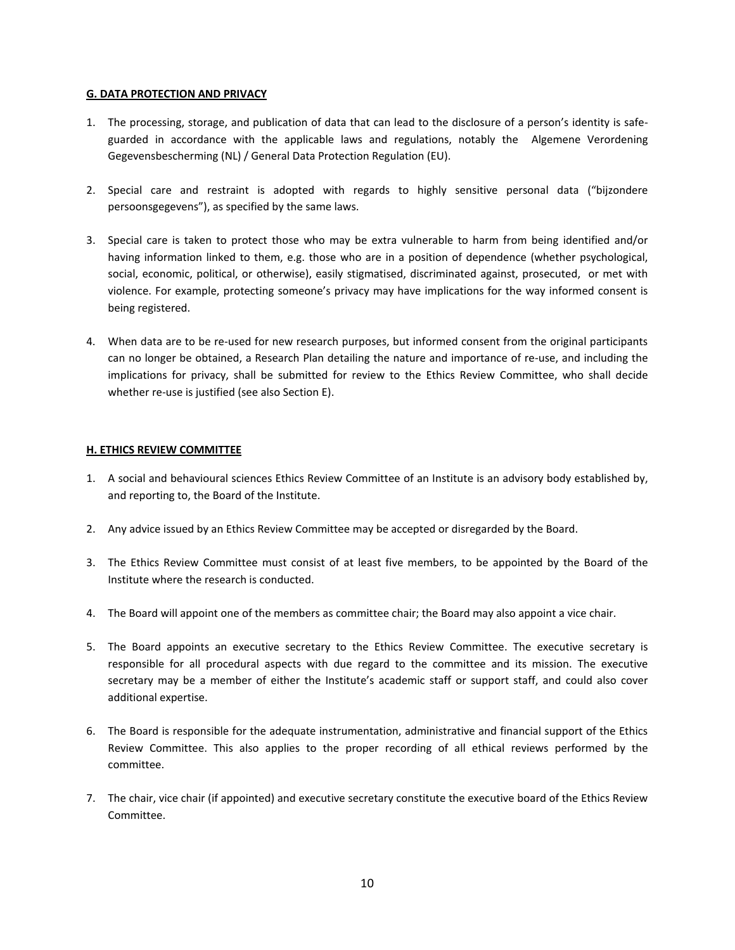## **G. DATA PROTECTION AND PRIVACY**

- 1. The processing, storage, and publication of data that can lead to the disclosure of a person's identity is safeguarded in accordance with the applicable laws and regulations, notably the Algemene Verordening Gegevensbescherming (NL) / General Data Protection Regulation (EU).
- 2. Special care and restraint is adopted with regards to highly sensitive personal data ("bijzondere persoonsgegevens"), as specified by the same laws.
- 3. Special care is taken to protect those who may be extra vulnerable to harm from being identified and/or having information linked to them, e.g. those who are in a position of dependence (whether psychological, social, economic, political, or otherwise), easily stigmatised, discriminated against, prosecuted, or met with violence. For example, protecting someone's privacy may have implications for the way informed consent is being registered.
- 4. When data are to be re-used for new research purposes, but informed consent from the original participants can no longer be obtained, a Research Plan detailing the nature and importance of re-use, and including the implications for privacy, shall be submitted for review to the Ethics Review Committee, who shall decide whether re-use is justified (see also Section E).

## **H. ETHICS REVIEW COMMITTEE**

- 1. A social and behavioural sciences Ethics Review Committee of an Institute is an advisory body established by, and reporting to, the Board of the Institute.
- 2. Any advice issued by an Ethics Review Committee may be accepted or disregarded by the Board.
- 3. The Ethics Review Committee must consist of at least five members, to be appointed by the Board of the Institute where the research is conducted.
- 4. The Board will appoint one of the members as committee chair; the Board may also appoint a vice chair.
- 5. The Board appoints an executive secretary to the Ethics Review Committee. The executive secretary is responsible for all procedural aspects with due regard to the committee and its mission. The executive secretary may be a member of either the Institute's academic staff or support staff, and could also cover additional expertise.
- 6. The Board is responsible for the adequate instrumentation, administrative and financial support of the Ethics Review Committee. This also applies to the proper recording of all ethical reviews performed by the committee.
- 7. The chair, vice chair (if appointed) and executive secretary constitute the executive board of the Ethics Review Committee.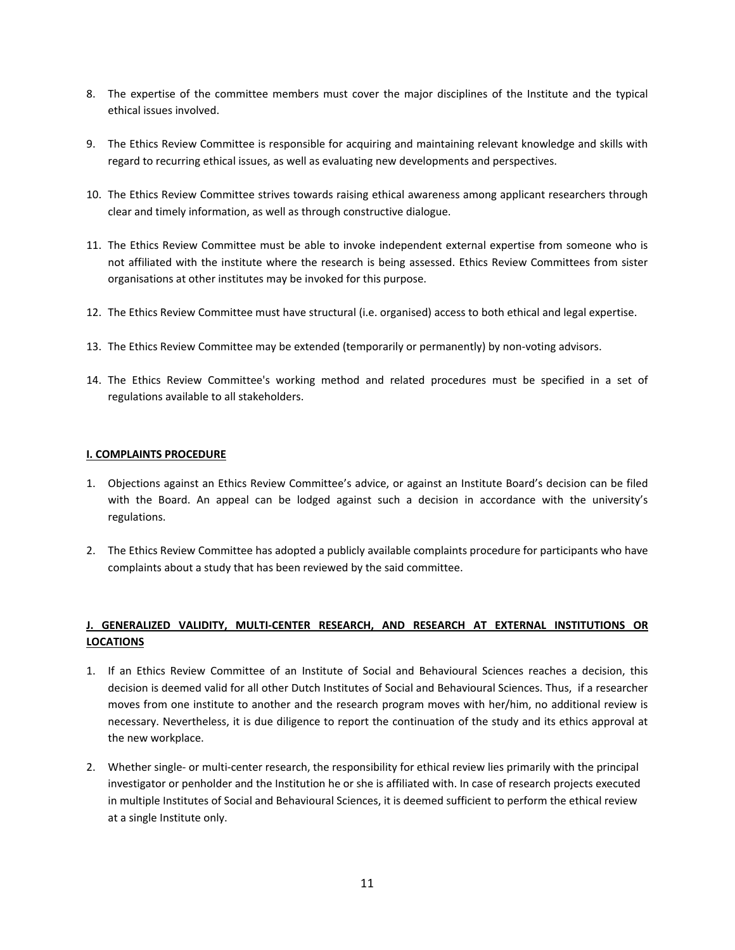- 8. The expertise of the committee members must cover the major disciplines of the Institute and the typical ethical issues involved.
- 9. The Ethics Review Committee is responsible for acquiring and maintaining relevant knowledge and skills with regard to recurring ethical issues, as well as evaluating new developments and perspectives.
- 10. The Ethics Review Committee strives towards raising ethical awareness among applicant researchers through clear and timely information, as well as through constructive dialogue.
- 11. The Ethics Review Committee must be able to invoke independent external expertise from someone who is not affiliated with the institute where the research is being assessed. Ethics Review Committees from sister organisations at other institutes may be invoked for this purpose.
- 12. The Ethics Review Committee must have structural (i.e. organised) access to both ethical and legal expertise.
- 13. The Ethics Review Committee may be extended (temporarily or permanently) by non-voting advisors.
- 14. The Ethics Review Committee's working method and related procedures must be specified in a set of regulations available to all stakeholders.

#### **I. COMPLAINTS PROCEDURE**

- 1. Objections against an Ethics Review Committee's advice, or against an Institute Board's decision can be filed with the Board. An appeal can be lodged against such a decision in accordance with the university's regulations.
- 2. The Ethics Review Committee has adopted a publicly available complaints procedure for participants who have complaints about a study that has been reviewed by the said committee.

# **J. GENERALIZED VALIDITY, MULTI-CENTER RESEARCH, AND RESEARCH AT EXTERNAL INSTITUTIONS OR LOCATIONS**

- 1. If an Ethics Review Committee of an Institute of Social and Behavioural Sciences reaches a decision, this decision is deemed valid for all other Dutch Institutes of Social and Behavioural Sciences. Thus, if a researcher moves from one institute to another and the research program moves with her/him, no additional review is necessary. Nevertheless, it is due diligence to report the continuation of the study and its ethics approval at the new workplace.
- 2. Whether single- or multi-center research, the responsibility for ethical review lies primarily with the principal investigator or penholder and the Institution he or she is affiliated with. In case of research projects executed in multiple Institutes of Social and Behavioural Sciences, it is deemed sufficient to perform the ethical review at a single Institute only.